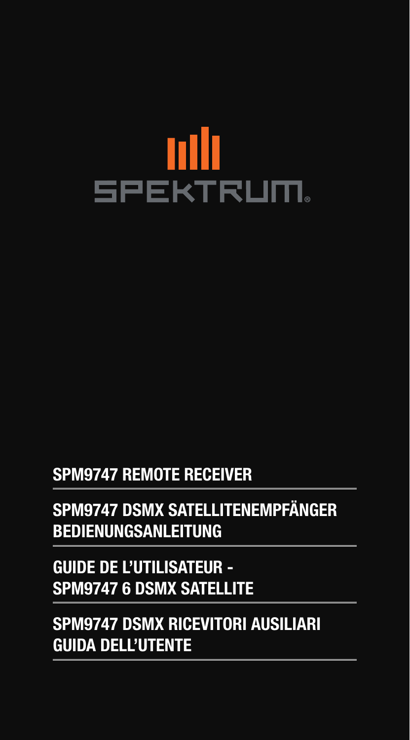## nllı **SPEKTRUM**

## **SPM9747 REMOTE RECEIVER**

## **SPM9747 DSMX SATELLITENEMPFÄNGER BEDIENUNGSANLEITUNG**

## **GUIDE DE L'UTILISATEUR - SPM9747 6 DSMX SATELLITE**

**SPM9747 DSMX RICEVITORI AUSILIARI GUIDA DELL'UTENTE**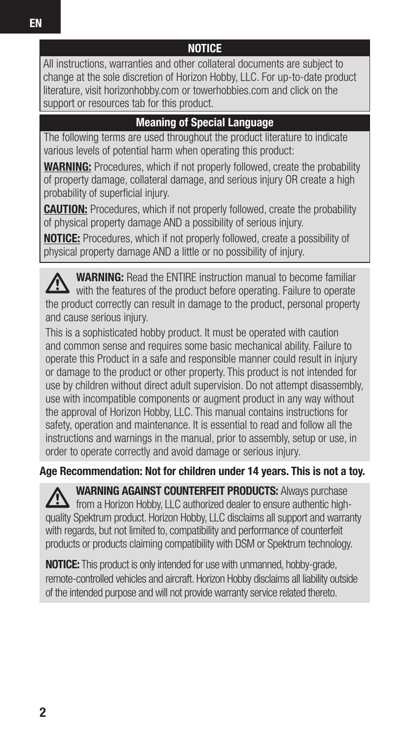All instructions, warranties and other collateral documents are subject to change at the sole discretion of Horizon Hobby, LLC. For up-to-date product literature, visit horizonhobby.com or towerhobbies.com and click on the support or resources tab for this product.

**NOTICE**

#### **Meaning of Special Language**

The following terms are used throughout the product literature to indicate various levels of potential harm when operating this product:

**WARNING:** Procedures, which if not properly followed, create the probability of property damage, collateral damage, and serious injury OR create a high probability of superficial injury.

**CAUTION:** Procedures, which if not properly followed, create the probability of physical property damage AND a possibility of serious injury.

**NOTICE:** Procedures, which if not properly followed, create a possibility of physical property damage AND a little or no possibility of injury.

**WARNING:** Read the ENTIRE instruction manual to become familiar with the features of the product before operating. Failure to operate the product correctly can result in damage to the product, personal property and cause serious injury.

This is a sophisticated hobby product. It must be operated with caution and common sense and requires some basic mechanical ability. Failure to operate this Product in a safe and responsible manner could result in injury or damage to the product or other property. This product is not intended for use by children without direct adult supervision. Do not attempt disassembly, use with incompatible components or augment product in any way without the approval of Horizon Hobby, LLC. This manual contains instructions for safety, operation and maintenance. It is essential to read and follow all the instructions and warnings in the manual, prior to assembly, setup or use, in order to operate correctly and avoid damage or serious injury.

**Age Recommendation: Not for children under 14 years. This is not a toy.**

**WARNING AGAINST COUNTERFEIT PRODUCTS:** Always purchase from a Horizon Hobby, LLC authorized dealer to ensure authentic highquality Spektrum product. Horizon Hobby, LLC disclaims all support and warranty with regards, but not limited to, compatibility and performance of counterfeit products or products claiming compatibility with DSM or Spektrum technology.

**NOTICE:** This product is only intended for use with unmanned, hobby-grade, remote-controlled vehicles and aircraft. Horizon Hobby disclaims all liability outside of the intended purpose and will not provide warranty service related thereto.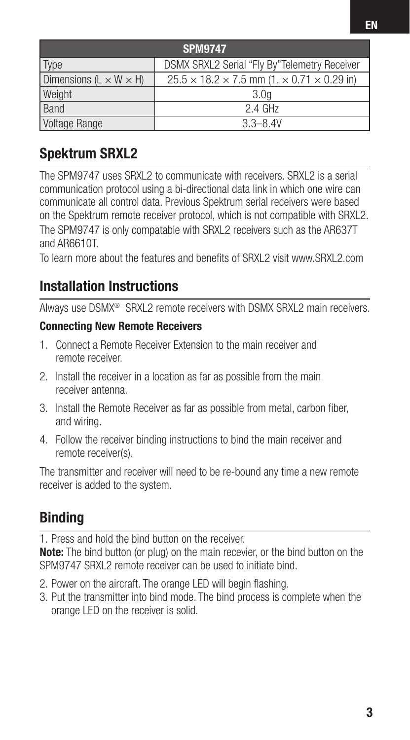| <b>SPM9747</b>                       |                                                                      |  |  |
|--------------------------------------|----------------------------------------------------------------------|--|--|
| Type                                 | DSMX SRXL2 Serial "Fly By"Telemetry Receiver                         |  |  |
| Dimensions ( $L \times W \times H$ ) | $25.5 \times 18.2 \times 7.5$ mm (1. $\times$ 0.71 $\times$ 0.29 in) |  |  |
| Weight                               | 3.0 <sub>a</sub>                                                     |  |  |
| Band                                 | $2.4$ GHz                                                            |  |  |
| Voltage Range                        | $3.3 - 8.4V$                                                         |  |  |

## **Spektrum SRXL2**

The SPM9747 uses SRXL2 to communicate with receivers. SRXL2 is a serial communication protocol using a bi-directional data link in which one wire can communicate all control data. Previous Spektrum serial receivers were based on the Spektrum remote receiver protocol, which is not compatible with SRXL2. The SPM9747 is only compatable with SRXL2 receivers such as the AR637T and AR6610T.

To learn more about the features and benefits of SRXL2 visit www.SRXL2.com

### **Installation Instructions**

Always use DSMX® SRXL2 remote receivers with DSMX SRXL2 main receivers.

#### **Connecting New Remote Receivers**

- 1. Connect a Remote Receiver Extension to the main receiver and remote receiver.
- 2. Install the receiver in a location as far as possible from the main receiver antenna.
- 3. Install the Remote Receiver as far as possible from metal, carbon fiber, and wiring.
- 4. Follow the receiver binding instructions to bind the main receiver and remote receiver(s).

The transmitter and receiver will need to be re-bound any time a new remote receiver is added to the system.

## **Binding**

1. Press and hold the bind button on the receiver.

**Note:** The bind button (or plug) on the main recevier, or the bind button on the SPM9747 SRXL2 remote receiver can be used to initiate bind.

- 2. Power on the aircraft. The orange LED will begin flashing.
- 3. Put the transmitter into bind mode. The bind process is complete when the orange LED on the receiver is solid.

**EN**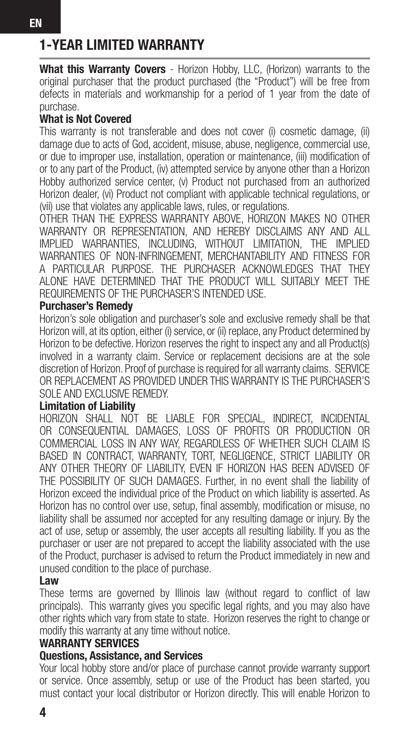## **1-YEAR LIMITED WARRANTY**

**What this Warranty Covers** - Horizon Hobby, LLC, (Horizon) warrants to the original purchaser that the product purchased (the "Product") will be free from defects in materials and workmanship for a period of 1 year from the date of purchase.

#### **What is Not Covered**

This warranty is not transferable and does not cover (i) cosmetic damage, (ii) damage due to acts of God, accident, misuse, abuse, negligence, commercial use, or due to improper use, installation, operation or maintenance, (iii) modification of or to any part of the Product, (iv) attempted service by anyone other than a Horizon Hobby authorized service center, (v) Product not purchased from an authorized Horizon dealer, (vi) Product not compliant with applicable technical regulations, or (vii) use that violates any applicable laws, rules, or regulations.

OTHER THAN THE EXPRESS WARRANTY ABOVE, HORIZON MAKES NO OTHER WARRANTY OR REPRESENTATION, AND HEREBY DISCLAIMS ANY AND ALL IMPLIED WARRANTIES, INCLUDING, WITHOUT LIMITATION, THE IMPLIED WARRANTIES OF NON-INFRINGEMENT, MERCHANTABILITY AND FITNESS FOR A PARTICULAR PURPOSE. THE PURCHASER ACKNOWLEDGES THAT THEY ALONE HAVE DETERMINED THAT THE PRODUCT WILL SUITABLY MEET THE REQUIREMENTS OF THE PURCHASER'S INTENDED USE.

#### **Purchaser's Remedy**

Horizon's sole obligation and purchaser's sole and exclusive remedy shall be that Horizon will, at its option, either (i) service, or (ii) replace, any Product determined by Horizon to be defective. Horizon reserves the right to inspect any and all Product(s) involved in a warranty claim. Service or replacement decisions are at the sole discretion of Horizon. Proof of purchase is required for all warranty claims. SERVICE OR REPLACEMENT AS PROVIDED UNDER THIS WARRANTY IS THE PURCHASER'S SOLE AND EXCLUSIVE REMEDY.

#### **Limitation of Liability**

HORIZON SHALL NOT BE LIABLE FOR SPECIAL, INDIRECT, INCIDENTAL OR CONSEQUENTIAL DAMAGES, LOSS OF PROFITS OR PRODUCTION OR COMMERCIAL LOSS IN ANY WAY, REGARDLESS OF WHETHER SUCH CLAIM IS BASED IN CONTRACT, WARRANTY, TORT, NEGLIGENCE, STRICT LIABILITY OR ANY OTHER THEORY OF LIABILITY, EVEN IF HORIZON HAS BEEN ADVISED OF THE POSSIBILITY OF SUCH DAMAGES. Further, in no event shall the liability of Horizon exceed the individual price of the Product on which liability is asserted. As Horizon has no control over use, setup, final assembly, modification or misuse, no liability shall be assumed nor accepted for any resulting damage or injury. By the act of use, setup or assembly, the user accepts all resulting liability. If you as the purchaser or user are not prepared to accept the liability associated with the use of the Product, purchaser is advised to return the Product immediately in new and unused condition to the place of purchase.

#### **Law**

These terms are governed by Illinois law (without regard to conflict of law principals). This warranty gives you specific legal rights, and you may also have other rights which vary from state to state. Horizon reserves the right to change or modify this warranty at any time without notice.

#### **WARRANTY SERVICES**

#### **Questions, Assistance, and Services**

Your local hobby store and/or place of purchase cannot provide warranty support or service. Once assembly, setup or use of the Product has been started, you must contact your local distributor or Horizon directly. This will enable Horizon to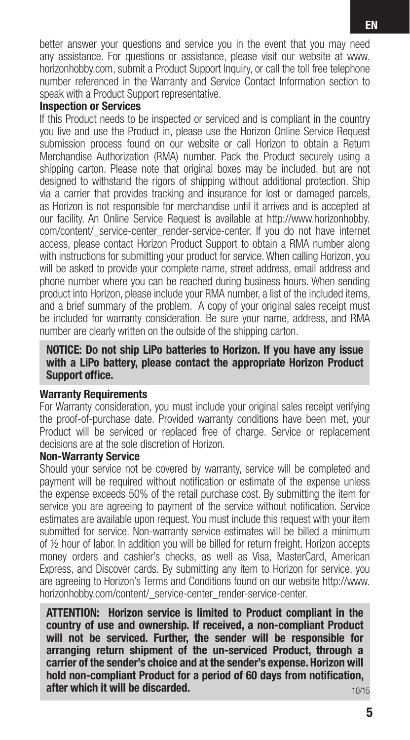better answer your questions and service you in the event that you may need any assistance. For questions or assistance, please visit our website at www. horizonhobby.com, submit a Product Support Inquiry, or call the toll free telephone number referenced in the Warranty and Service Contact Information section to speak with a Product Support representative.

#### **Inspection or Services**

If this Product needs to be inspected or serviced and is compliant in the country you live and use the Product in, please use the Horizon Online Service Request submission process found on our website or call Horizon to obtain a Return Merchandise Authorization (RMA) number. Pack the Product securely using a shipping carton. Please note that original boxes may be included, but are not designed to withstand the rigors of shipping without additional protection. Ship via a carrier that provides tracking and insurance for lost or damaged parcels, as Horizon is not responsible for merchandise until it arrives and is accepted at our facility. An Online Service Request is available at http://www.horizonhobby. com/content/ service-center render-service-center. If you do not have internet access, please contact Horizon Product Support to obtain a RMA number along with instructions for submitting your product for service. When calling Horizon, you will be asked to provide your complete name, street address, email address and phone number where you can be reached during business hours. When sending product into Horizon, please include your RMA number, a list of the included items, and a brief summary of the problem. A copy of your original sales receipt must be included for warranty consideration. Be sure your name, address, and RMA number are clearly written on the outside of the shipping carton.

#### **NOTICE: Do not ship LiPo batteries to Horizon. If you have any issue with a LiPo battery, please contact the appropriate Horizon Product Support office.**

#### **Warranty Requirements**

For Warranty consideration, you must include your original sales receipt verifying the proof-of-purchase date. Provided warranty conditions have been met, your Product will be serviced or replaced free of charge. Service or replacement decisions are at the sole discretion of Horizon.

#### **Non-Warranty Service**

Should your service not be covered by warranty, service will be completed and payment will be required without notification or estimate of the expense unless the expense exceeds 50% of the retail purchase cost. By submitting the item for service you are agreeing to payment of the service without notification. Service estimates are available upon request. You must include this request with your item submitted for service. Non-warranty service estimates will be billed a minimum of ½ hour of labor. In addition you will be billed for return freight. Horizon accepts money orders and cashier's checks, as well as Visa, MasterCard, American Express, and Discover cards. By submitting any item to Horizon for service, you are agreeing to Horizon's Terms and Conditions found on our website http://www. horizonhobby.com/content/ service-center\_render-service-center.

**ATTENTION: Horizon service is limited to Product compliant in the country of use and ownership. If received, a non-compliant Product will not be serviced. Further, the sender will be responsible for arranging return shipment of the un-serviced Product, through a carrier of the sender's choice and at the sender's expense. Horizon will**  hold non-compliant Product for a period of 60 days from notification. **after which it will be discarded.** 10/15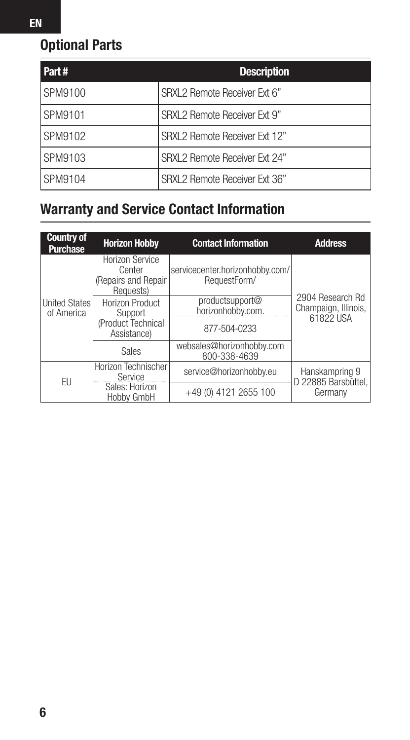## **Optional Parts**

| Part#   | <b>Description</b>            |
|---------|-------------------------------|
| SPM9100 | SRXL2 Remote Receiver Ext 6"  |
| SPM9101 | SRXL 2 Remote Receiver Ext 9" |
| SPM9102 | SRXL2 Remote Receiver Ext 12" |
| SPM9103 | SRXL2 Remote Receiver Ext 24" |
| SPM9104 | SRXL2 Remote Receiver Ext 36" |

## **Warranty and Service Contact Information**

| <b>Country of</b><br><b>Purchase</b> | <b>Horizon Hobby</b>                                                 | <b>Contact Information</b>                           | <b>Address</b>                                        |
|--------------------------------------|----------------------------------------------------------------------|------------------------------------------------------|-------------------------------------------------------|
| United States<br>of America          | <b>Horizon Service</b><br>Center<br>(Repairs and Repair<br>Requests) | servicecenter.horizonhobby.com/<br>RequestForm/      | 2904 Research Rd<br>Champaign, Illinois,<br>61822 USA |
|                                      | Horizon Product<br>Support<br>(Product Technical                     | productsupport@<br>horizonhobby.com.<br>877-504-0233 |                                                       |
|                                      | Assistance)<br>Sales                                                 | websales@horizonhobby.com<br>800-338-4639            |                                                       |
| FU                                   | Horizon Technischer<br>Service                                       | service@horizonhobby.eu                              | Hanskampring 9<br>D 22885 Barsbüttel.                 |
|                                      | Sales: Horizon<br>Hobby GmbH                                         | +49 (0) 4121 2655 100                                | Germany                                               |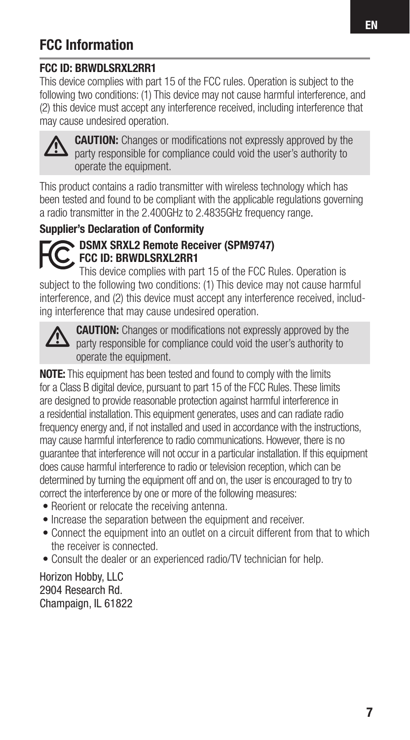## **FCC Information**

#### **FCC ID: BRWDLSRXL2RR1**

This device complies with part 15 of the FCC rules. Operation is subject to the following two conditions: (1) This device may not cause harmful interference, and (2) this device must accept any interference received, including interference that may cause undesired operation.



**CAUTION:** Changes or modifications not expressly approved by the party responsible for compliance could void the user's authority to operate the equipment.

This product contains a radio transmitter with wireless technology which has been tested and found to be compliant with the applicable regulations governing a radio transmitter in the 2.400GHz to 2.4835GHz frequency range.

#### **Supplier's Declaration of Conformity**



#### **DSMX SRXL2 Remote Receiver (SPM9747) FCC ID: BRWDLSRXL2RR1**

This device complies with part 15 of the FCC Rules. Operation is subject to the following two conditions: (1) This device may not cause harmful interference, and (2) this device must accept any interference received, including interference that may cause undesired operation.



**CAUTION:** Changes or modifications not expressly approved by the party responsible for compliance could void the user's authority to operate the equipment.

**NOTE:** This equipment has been tested and found to comply with the limits for a Class B digital device, pursuant to part 15 of the FCC Rules. These limits are designed to provide reasonable protection against harmful interference in a residential installation. This equipment generates, uses and can radiate radio frequency energy and, if not installed and used in accordance with the instructions, may cause harmful interference to radio communications. However, there is no guarantee that interference will not occur in a particular installation. If this equipment does cause harmful interference to radio or television reception, which can be determined by turning the equipment off and on, the user is encouraged to try to correct the interference by one or more of the following measures:

- Reorient or relocate the receiving antenna.
- Increase the separation between the equipment and receiver.
- Connect the equipment into an outlet on a circuit different from that to which the receiver is connected.
- Consult the dealer or an experienced radio/TV technician for help.

Horizon Hobby, LLC 2904 Research Rd. Champaign, IL 61822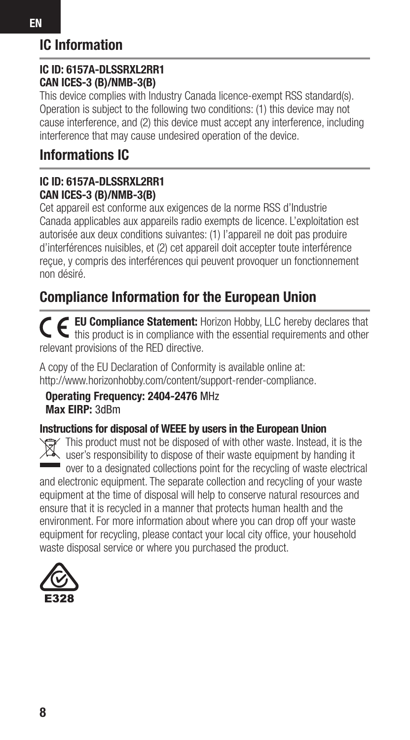## **IC Information**

#### **IC ID: 6157A-DLSSRXL2RR1 CAN ICES-3 (B)/NMB-3(B)**

This device complies with Industry Canada licence-exempt RSS standard(s). Operation is subject to the following two conditions: (1) this device may not cause interference, and (2) this device must accept any interference, including interference that may cause undesired operation of the device.

## **Informations IC**

#### **IC ID: 6157A-DLSSRXL2RR1 CAN ICES-3 (B)/NMB-3(B)**

Cet appareil est conforme aux exigences de la norme RSS d'Industrie Canada applicables aux appareils radio exempts de licence. L'exploitation est autorisée aux deux conditions suivantes: (1) l'appareil ne doit pas produire d'interférences nuisibles, et (2) cet appareil doit accepter toute interférence reçue, y compris des interférences qui peuvent provoquer un fonctionnement non désiré.

## **Compliance Information for the European Union**

**EU Compliance Statement:** Horizon Hobby, LLC hereby declares that this product is in compliance with the essential requirements and other relevant provisions of the RED directive.

A copy of the EU Declaration of Conformity is available online at: http://www.horizonhobby.com/content/support-render-compliance.

#### **Operating Frequency: 2404-2476** MHz **Max EIRP:** 3dBm

#### **Instructions for disposal of WEEE by users in the European Union**

This product must not be disposed of with other waste. Instead, it is the user's responsibility to dispose of their waste equipment by handing it over to a designated collections point for the recycling of waste electrical and electronic equipment. The separate collection and recycling of your waste equipment at the time of disposal will help to conserve natural resources and ensure that it is recycled in a manner that protects human health and the environment. For more information about where you can drop off your waste equipment for recycling, please contact your local city office, your household waste disposal service or where you purchased the product.